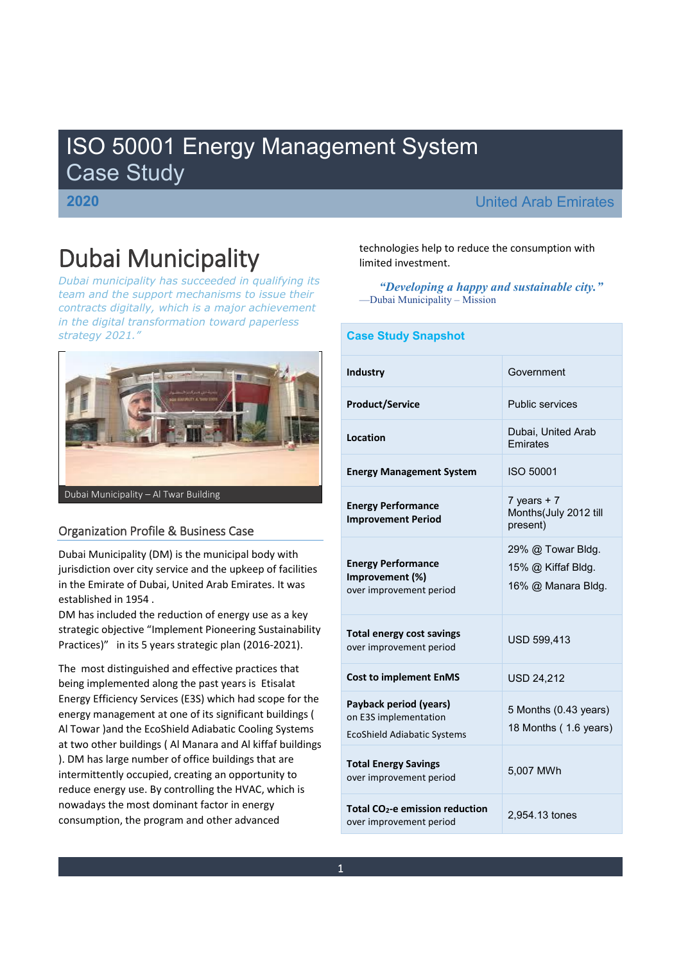# ISO 50001 Energy Management System Case Study

## **2020** United Arab Emirates

# Dubai Municipality

*Dubai municipality has succeeded in qualifying its team and the support mechanisms to issue their contracts digitally, which is a major achievement in the digital transformation toward paperless strategy 2021´*



## Organization Profile & Business Case

Dubai Municipality (DM) is the municipal body with jurisdiction over city service and the upkeep of facilities in the Emirate of Dubai, United Arab Emirates. It was established in 1954 .

DM has included the reduction of energy use as a key strategic objective "Implement Pioneering Sustainability Practices)<sup>"</sup> in its 5 years strategic plan (2016-2021).

The most distinguished and effective practices that being implemented along the past years is Etisalat Energy Efficiency Services (E3S) which had scope for the energy management at one of its significant buildings ( Al Towar )and the EcoShield Adiabatic Cooling Systems at two other buildings ( Al Manara and Al kiffaf buildings ). DM has large number of office buildings that are intermittently occupied, creating an opportunity to reduce energy use. By controlling the HVAC, which is nowadays the most dominant factor in energy consumption, the program and other advanced

technologies help to reduce the consumption with limited investment.

*³Developing a happy and sustainable city´* -Dubai Municipality - Mission

# **Case Study Snapshot Industry** Government **Product/Service** Public services **Location** Dubai, United Arab Emirates **Energy Management System** ISO 50001 **Energy Performance Improvement Period**   $7$  years  $+ 7$ Months(July 2012 till present) **Energy Performance Improvement (%)** over improvement period 29% @ Towar Bldg. 15% @ Kiffaf Bldg. 16% @ Manara Bldg. **Total energy cost savings Total energy cost savings**<br>over improvement period **Cost to implement EnMS** USD 24,212 **Payback period (years)** on E3S implementation EcoShield Adiabatic Systems 5 Months (0.43 years) 18 Months ( 1.6 years) **Total Energy Savings**  Total Energy Savings<br>
over improvement period 5,007 MWh **Total CO2-e emission reduction**  over improvement period 2,954.13 tones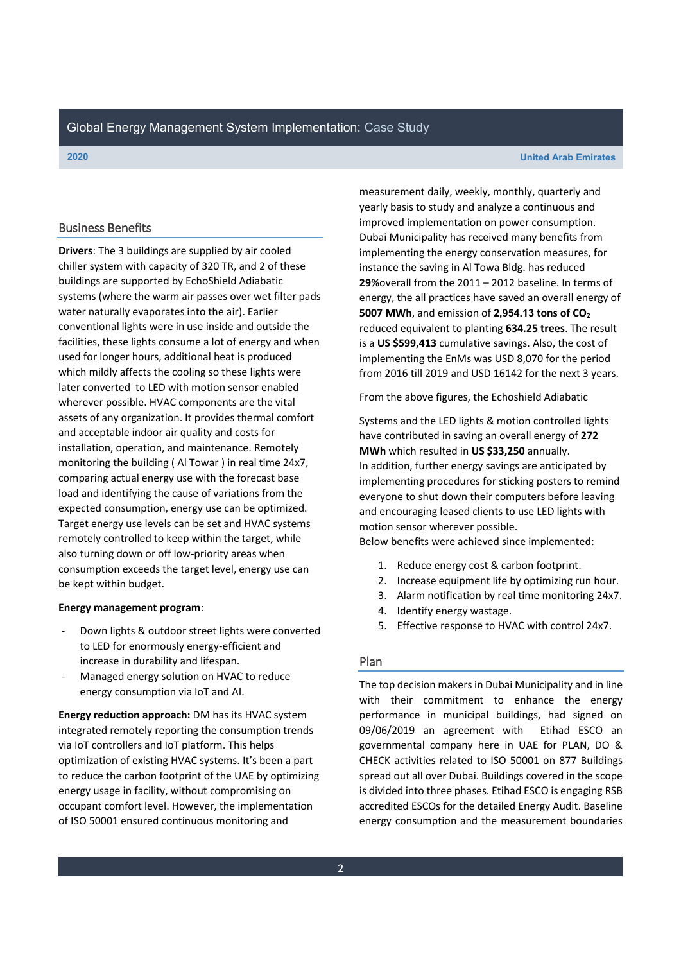### **2020 United Arab Emirates**

### Business Benefits

**Drivers**: The 3 buildings are supplied by air cooled chiller system with capacity of 320 TR, and 2 of these buildings are supported by EchoShield Adiabatic systems (where the warm air passes over wet filter pads water naturally evaporates into the air). Earlier conventional lights were in use inside and outside the facilities, these lights consume a lot of energy and when used for longer hours, additional heat is produced which mildly affects the cooling so these lights were later converted to LED with motion sensor enabled wherever possible. HVAC components are the vital assets of any organization. It provides thermal comfort and acceptable indoor air quality and costs for installation, operation, and maintenance. Remotely monitoring the building ( Al Towar ) in real time 24x7, comparing actual energy use with the forecast base load and identifying the cause of variations from the expected consumption, energy use can be optimized. Target energy use levels can be set and HVAC systems remotely controlled to keep within the target, while also turning down or off low-priority areas when consumption exceeds the target level, energy use can be kept within budget.

### **Energy management program**:

- Down lights & outdoor street lights were converted to LED for enormously energy-efficient and increase in durability and lifespan.
- Managed energy solution on HVAC to reduce energy consumption via IoT and AI.

**Energy reduction approach:** DM has its HVAC system integrated remotely reporting the consumption trends via IoT controllers and IoT platform. This helps optimization of existing HVAC systems. It's been a part to reduce the carbon footprint of the UAE by optimizing energy usage in facility, without compromising on occupant comfort level. However, the implementation of ISO 50001 ensured continuous monitoring and

measurement daily, weekly, monthly, quarterly and yearly basis to study and analyze a continuous and improved implementation on power consumption. Dubai Municipality has received many benefits from implementing the energy conservation measures, for instance the saving in Al Towa Bldg. has reduced **29%**overall from the 2011 - 2012 baseline. In terms of energy, the all practices have saved an overall energy of **5007 MWh**, and emission of **2,954.13 tons of CO2** reduced equivalent to planting **634.25 trees**. The result is a **US \$599,413** cumulative savings. Also, the cost of implementing the EnMs was USD 8,070 for the period from 2016 till 2019 and USD 16142 for the next 3 years.

From the above figures, the Echoshield Adiabatic

Systems and the LED lights & motion controlled lights have contributed in saving an overall energy of **272 MWh** which resulted in **US \$33,250** annually. In addition, further energy savings are anticipated by implementing procedures for sticking posters to remind everyone to shut down their computers before leaving and encouraging leased clients to use LED lights with motion sensor wherever possible.

Below benefits were achieved since implemented:

- 1. Reduce energy cost & carbon footprint.
- 2. Increase equipment life by optimizing run hour.
- 3. Alarm notification by real time monitoring 24x7.
- 4. Identify energy wastage.
- 5. Effective response to HVAC with control 24x7.

### Plan

The top decision makers in Dubai Municipality and in line with their commitment to enhance the energy performance in municipal buildings, had signed on 09/06/2019 an agreement with Etihad ESCO an governmental company here in UAE for PLAN, DO & CHECK activities related to ISO 50001 on 877 Buildings spread out all over Dubai. Buildings covered in the scope is divided into three phases. Etihad ESCO is engaging RSB accredited ESCOs for the detailed Energy Audit. Baseline energy consumption and the measurement boundaries

2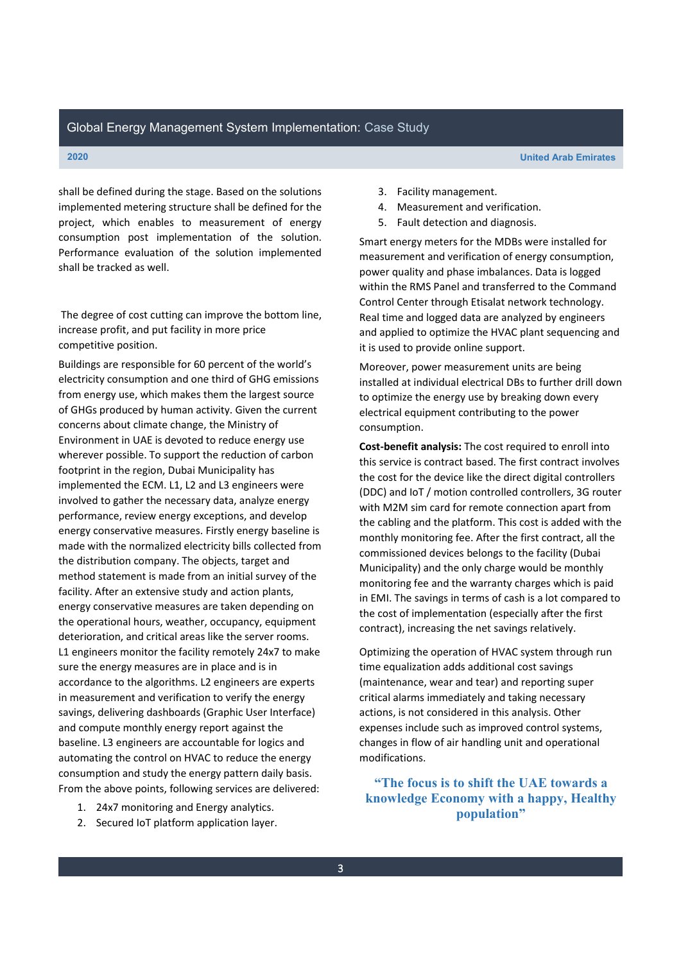**2020 United Arab Emirates**

shall be defined during the stage. Based on the solutions implemented metering structure shall be defined for the project, which enables to measurement of energy consumption post implementation of the solution. Performance evaluation of the solution implemented shall be tracked as well.

The degree of cost cutting can improve the bottom line, increase profit, and put facility in more price competitive position.

Buildings are responsible for 60 percent of the world's electricity consumption and one third of GHG emissions from energy use, which makes them the largest source of GHGs produced by human activity. Given the current concerns about climate change, the Ministry of Environment in UAE is devoted to reduce energy use wherever possible. To support the reduction of carbon footprint in the region, Dubai Municipality has implemented the ECM. L1, L2 and L3 engineers were involved to gather the necessary data, analyze energy performance, review energy exceptions, and develop energy conservative measures. Firstly energy baseline is made with the normalized electricity bills collected from the distribution company. The objects, target and method statement is made from an initial survey of the facility. After an extensive study and action plants, energy conservative measures are taken depending on the operational hours, weather, occupancy, equipment deterioration, and critical areas like the server rooms. L1 engineers monitor the facility remotely 24x7 to make sure the energy measures are in place and is in accordance to the algorithms. L2 engineers are experts in measurement and verification to verify the energy savings, delivering dashboards (Graphic User Interface) and compute monthly energy report against the baseline. L3 engineers are accountable for logics and automating the control on HVAC to reduce the energy consumption and study the energy pattern daily basis. From the above points, following services are delivered:

- 1. 24x7 monitoring and Energy analytics.
- 2. Secured IoT platform application layer.
- 3. Facility management.
- 4. Measurement and verification.
- 5. Fault detection and diagnosis.

Smart energy meters for the MDBs were installed for measurement and verification of energy consumption, power quality and phase imbalances. Data is logged within the RMS Panel and transferred to the Command Control Center through Etisalat network technology. Real time and logged data are analyzed by engineers and applied to optimize the HVAC plant sequencing and it is used to provide online support.

Moreover, power measurement units are being installed at individual electrical DBs to further drill down to optimize the energy use by breaking down every electrical equipment contributing to the power consumption.

**Cost-benefit analysis:** The cost required to enroll into this service is contract based. The first contract involves the cost for the device like the direct digital controllers (DDC) and IoT / motion controlled controllers, 3G router with M2M sim card for remote connection apart from the cabling and the platform. This cost is added with the monthly monitoring fee. After the first contract, all the commissioned devices belongs to the facility (Dubai Municipality) and the only charge would be monthly monitoring fee and the warranty charges which is paid in EMI. The savings in terms of cash is a lot compared to the cost of implementation (especially after the first contract), increasing the net savings relatively.

Optimizing the operation of HVAC system through run time equalization adds additional cost savings (maintenance, wear and tear) and reporting super critical alarms immediately and taking necessary actions, is not considered in this analysis. Other expenses include such as improved control systems, changes in flow of air handling unit and operational modifications.

**³The focus is to shift the UAE towards a knowledge Economy with a happy, Healthy population´**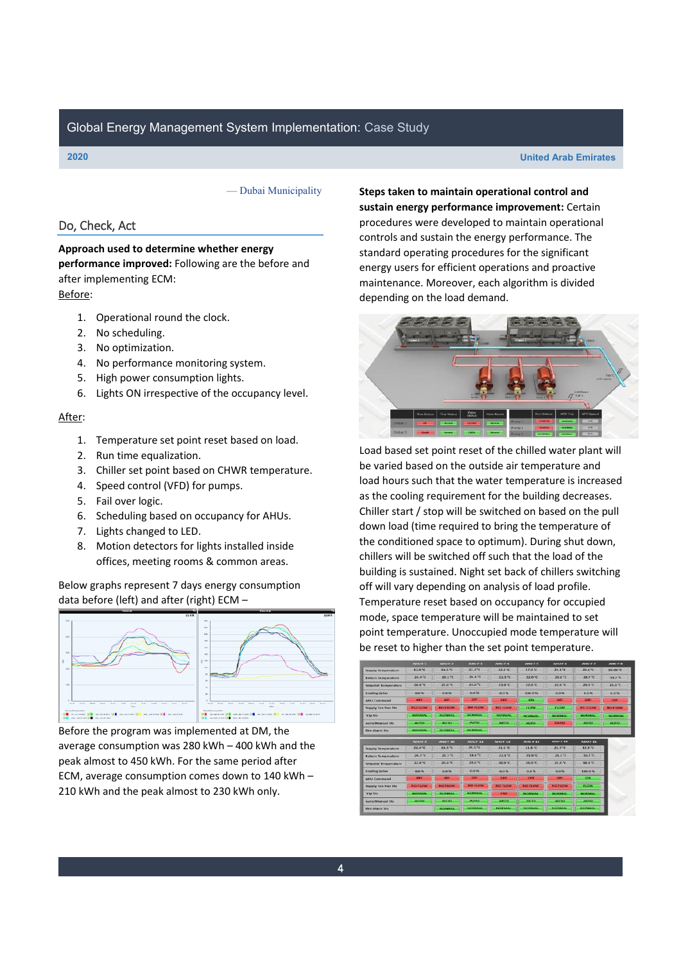### **2020 United Arab Emirates**

- Dubai Municipality

### Do, Check, Act

### **Approach used to determine whether energy performance improved:** Following are the before and after implementing ECM: Before:

- 1. Operational round the clock.
- 2. No scheduling.
- 3. No optimization.
- 4. No performance monitoring system.
- 5. High power consumption lights.
- 6. Lights ON irrespective of the occupancy level.

### After:

- 1. Temperature set point reset based on load.
- 2. Run time equalization.
- 3. Chiller set point based on CHWR temperature.
- 4. Speed control (VFD) for pumps.
- 5. Fail over logic.
- 6. Scheduling based on occupancy for AHUs.
- 7. Lights changed to LED.
- 8. Motion detectors for lights installed inside offices, meeting rooms & common areas.

Below graphs represent 7 days energy consumption data before (left) and after (right) ECM  $-$ 



Before the program was implemented at DM, the average consumption was 280 kWh  $-$  400 kWh and the peak almost to 450 kWh. For the same period after ECM, average consumption comes down to 140 kWh  $-$ 210 kWh and the peak almost to 230 kWh only.

**Steps taken to maintain operational control and sustain energy performance improvement:** Certain procedures were developed to maintain operational controls and sustain the energy performance. The standard operating procedures for the significant energy users for efficient operations and proactive maintenance. Moreover, each algorithm is divided depending on the load demand.



Load based set point reset of the chilled water plant will be varied based on the outside air temperature and load hours such that the water temperature is increased as the cooling requirement for the building decreases. Chiller start / stop will be switched on based on the pull down load (time required to bring the temperature of the conditioned space to optimum). During shut down, chillers will be switched off such that the load of the building is sustained. Night set back of chillers switching off will vary depending on analysis of load profile. Temperature reset based on occupancy for occupied mode, space temperature will be maintained to set point temperature. Unoccupied mode temperature will be reset to higher than the set point temperature.

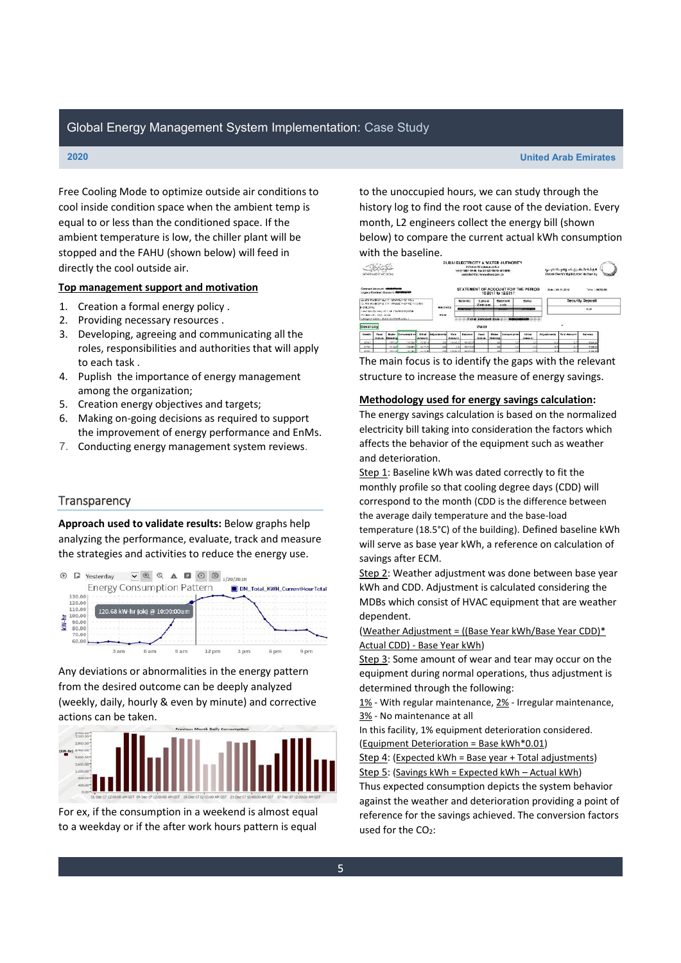**2020 United Arab Emirates**

Free Cooling Mode to optimize outside air conditions to cool inside condition space when the ambient temp is equal to or less than the conditioned space. If the ambient temperature is low, the chiller plant will be stopped and the FAHU (shown below) will feed in directly the cool outside air.

### **Top management support and motivation**

- 1. Creation a formal energy policy .
- 2. Providing necessary resources .
- 3. Developing, agreeing and communicating all the roles, responsibilities and authorities that will apply to each task .
- 4. Puplish the importance of energy management among the organization;
- 5. Creation energy objectives and targets;
- 6. Making on-going decisions as required to support the improvement of energy performance and EnMs.
- 7. Conducting energy management system reviews.

### **Transparency**

**Approach used to validate results:** Below graphs help analyzing the performance, evaluate, track and measure the strategies and activities to reduce the energy use.



Any deviations or abnormalities in the energy pattern from the desired outcome can be deeply analyzed (weekly, daily, hourly & even by minute) and corrective actions can be taken.



For ex, if the consumption in a weekend is almost equal to a weekday or if the after work hours pattern is equal

to the unoccupied hours, we can study through the history log to find the root cause of the deviation. Every month, L2 engineers collect the energy bill (shown below) to compare the current actual kWh consumption with the baseline.



The main focus is to identify the gaps with the relevant structure to increase the measure of energy savings.

### **Methodology used for energy savings calculation:**

The energy savings calculation is based on the normalized electricity bill taking into consideration the factors which affects the behavior of the equipment such as weather and deterioration.

Step 1: Baseline kWh was dated correctly to fit the monthly profile so that cooling degree days (CDD) will correspond to the month (CDD is the difference between the average daily temperature and the base-load temperature (18.5°C) of the building). Defined baseline kWh will serve as base year kWh, a reference on calculation of savings after ECM.

Step 2: Weather adjustment was done between base year kWh and CDD. Adjustment is calculated considering the MDBs which consist of HVAC equipment that are weather dependent.

(Weather Adjustment = ((Base Year kWh/Base Year CDD)\* Actual CDD) - Base Year kWh)

Step 3: Some amount of wear and tear may occur on the equipment during normal operations, thus adjustment is determined through the following:

1% - With regular maintenance, 2% - Irregular maintenance, 3% - No maintenance at all

In this facility, 1% equipment deterioration considered. (Equipment Deterioration = Base kWh\*0.01)

Step 4: (Expected kWh = Base year + Total adjustments) Step 5: (Savings kWh = Expected kWh - Actual kWh) Thus expected consumption depicts the system behavior against the weather and deterioration providing a point of reference for the savings achieved. The conversion factors used for the  $CO<sub>2</sub>$ :